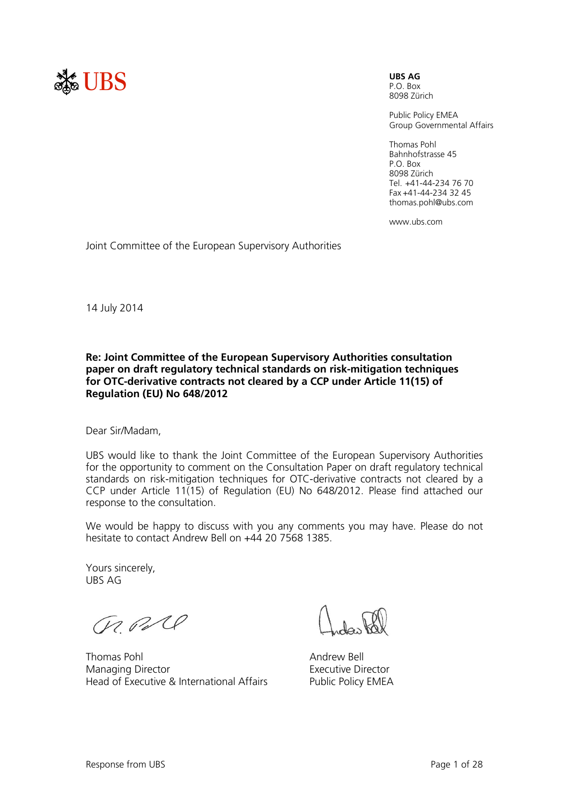

P.O. Box

8098 Zürich

Public Policy EMEA Group Governmental Affairs

Thomas Pohl Bahnhofstrasse 45 P.O. Box 8098 Zürich Tel. +41-44-234 76 70 Fax +41-44-234 32 45 thomas.pohl@ubs.com

www.ubs.com

Joint Committee of the European Supervisory Authorities

14 July 2014

#### **Re: Joint Committee of the European Supervisory Authorities consultation paper on draft regulatory technical standards on risk-mitigation techniques for OTC-derivative contracts not cleared by a CCP under Article 11(15) of Regulation (EU) No 648/2012**

Dear Sir/Madam,

UBS would like to thank the Joint Committee of the European Supervisory Authorities for the opportunity to comment on the Consultation Paper on draft regulatory technical standards on risk-mitigation techniques for OTC-derivative contracts not cleared by a CCP under Article 11(15) of Regulation (EU) No 648/2012. Please find attached our response to the consultation.

We would be happy to discuss with you any comments you may have. Please do not hesitate to contact Andrew Bell on +44 20 7568 1385.

Yours sincerely, UBS AG

ChRC

Thomas Pohl **Andrew Bell Andrew Bell** Managing Director Head of Executive & International Affairs

Executive Director Public Policy EMEA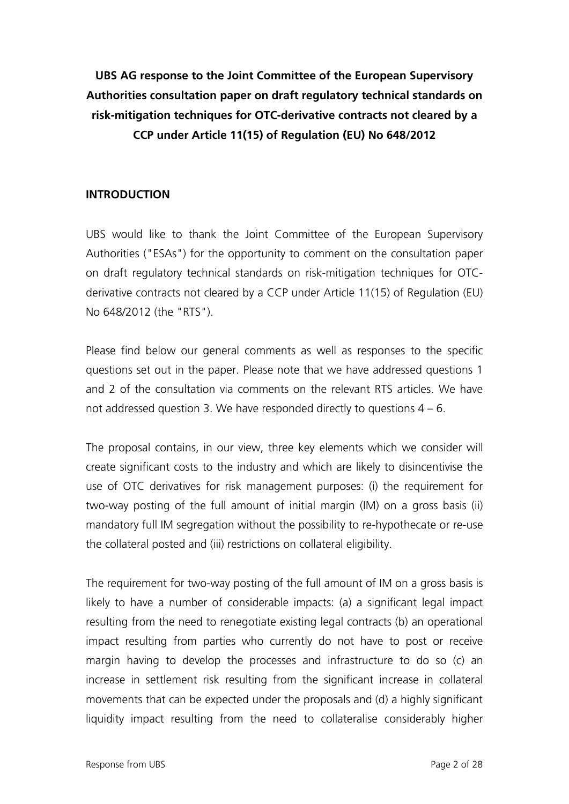**UBS AG response to the Joint Committee of the European Supervisory Authorities consultation paper on draft regulatory technical standards on risk-mitigation techniques for OTC-derivative contracts not cleared by a CCP under Article 11(15) of Regulation (EU) No 648/2012**

## **INTRODUCTION**

UBS would like to thank the Joint Committee of the European Supervisory Authorities ("ESAs") for the opportunity to comment on the consultation paper on draft regulatory technical standards on risk-mitigation techniques for OTCderivative contracts not cleared by a CCP under Article 11(15) of Regulation (EU) No 648/2012 (the "RTS").

Please find below our general comments as well as responses to the specific questions set out in the paper. Please note that we have addressed questions 1 and 2 of the consultation via comments on the relevant RTS articles. We have not addressed question 3. We have responded directly to questions 4 – 6.

The proposal contains, in our view, three key elements which we consider will create significant costs to the industry and which are likely to disincentivise the use of OTC derivatives for risk management purposes: (i) the requirement for two-way posting of the full amount of initial margin (IM) on a gross basis (ii) mandatory full IM segregation without the possibility to re-hypothecate or re-use the collateral posted and (iii) restrictions on collateral eligibility.

The requirement for two-way posting of the full amount of IM on a gross basis is likely to have a number of considerable impacts: (a) a significant legal impact resulting from the need to renegotiate existing legal contracts (b) an operational impact resulting from parties who currently do not have to post or receive margin having to develop the processes and infrastructure to do so (c) an increase in settlement risk resulting from the significant increase in collateral movements that can be expected under the proposals and (d) a highly significant liquidity impact resulting from the need to collateralise considerably higher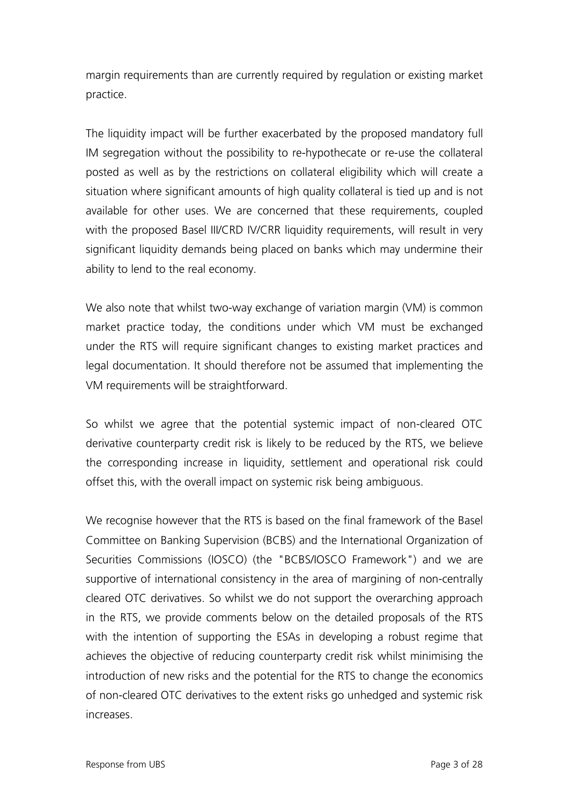margin requirements than are currently required by regulation or existing market practice.

The liquidity impact will be further exacerbated by the proposed mandatory full IM segregation without the possibility to re-hypothecate or re-use the collateral posted as well as by the restrictions on collateral eligibility which will create a situation where significant amounts of high quality collateral is tied up and is not available for other uses. We are concerned that these requirements, coupled with the proposed Basel III/CRD IV/CRR liquidity requirements, will result in very significant liquidity demands being placed on banks which may undermine their ability to lend to the real economy.

We also note that whilst two-way exchange of variation margin (VM) is common market practice today, the conditions under which VM must be exchanged under the RTS will require significant changes to existing market practices and legal documentation. It should therefore not be assumed that implementing the VM requirements will be straightforward.

So whilst we agree that the potential systemic impact of non-cleared OTC derivative counterparty credit risk is likely to be reduced by the RTS, we believe the corresponding increase in liquidity, settlement and operational risk could offset this, with the overall impact on systemic risk being ambiguous.

We recognise however that the RTS is based on the final framework of the Basel Committee on Banking Supervision (BCBS) and the International Organization of Securities Commissions (IOSCO) (the "BCBS/IOSCO Framework") and we are supportive of international consistency in the area of margining of non-centrally cleared OTC derivatives. So whilst we do not support the overarching approach in the RTS, we provide comments below on the detailed proposals of the RTS with the intention of supporting the ESAs in developing a robust regime that achieves the objective of reducing counterparty credit risk whilst minimising the introduction of new risks and the potential for the RTS to change the economics of non-cleared OTC derivatives to the extent risks go unhedged and systemic risk increases.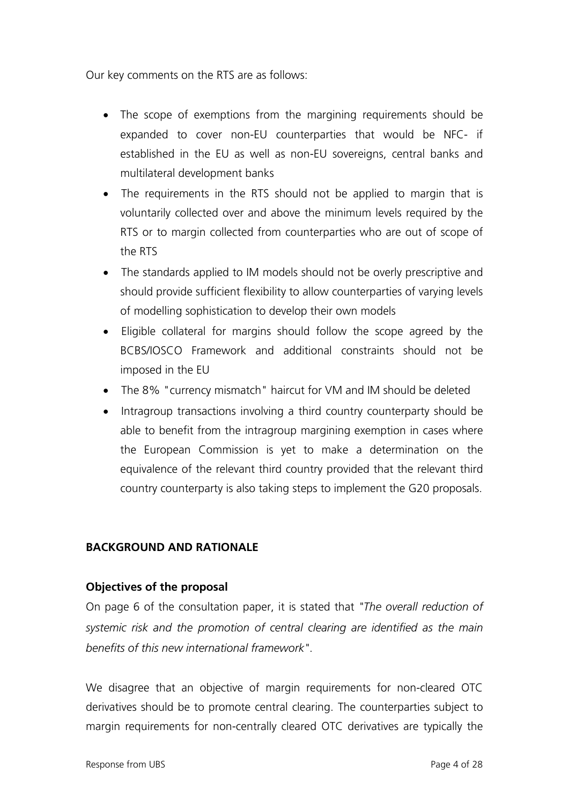Our key comments on the RTS are as follows:

- The scope of exemptions from the margining requirements should be expanded to cover non-EU counterparties that would be NFC- if established in the EU as well as non-EU sovereigns, central banks and multilateral development banks
- The requirements in the RTS should not be applied to margin that is voluntarily collected over and above the minimum levels required by the RTS or to margin collected from counterparties who are out of scope of the RTS
- The standards applied to IM models should not be overly prescriptive and should provide sufficient flexibility to allow counterparties of varying levels of modelling sophistication to develop their own models
- Eligible collateral for margins should follow the scope agreed by the BCBS/IOSCO Framework and additional constraints should not be imposed in the EU
- The 8% "currency mismatch" haircut for VM and IM should be deleted
- Intragroup transactions involving a third country counterparty should be able to benefit from the intragroup margining exemption in cases where the European Commission is yet to make a determination on the equivalence of the relevant third country provided that the relevant third country counterparty is also taking steps to implement the G20 proposals.

## **BACKGROUND AND RATIONALE**

#### **Objectives of the proposal**

On page 6 of the consultation paper, it is stated that *"The overall reduction of systemic risk and the promotion of central clearing are identified as the main benefits of this new international framework"*.

We disagree that an objective of margin requirements for non-cleared OTC derivatives should be to promote central clearing. The counterparties subject to margin requirements for non-centrally cleared OTC derivatives are typically the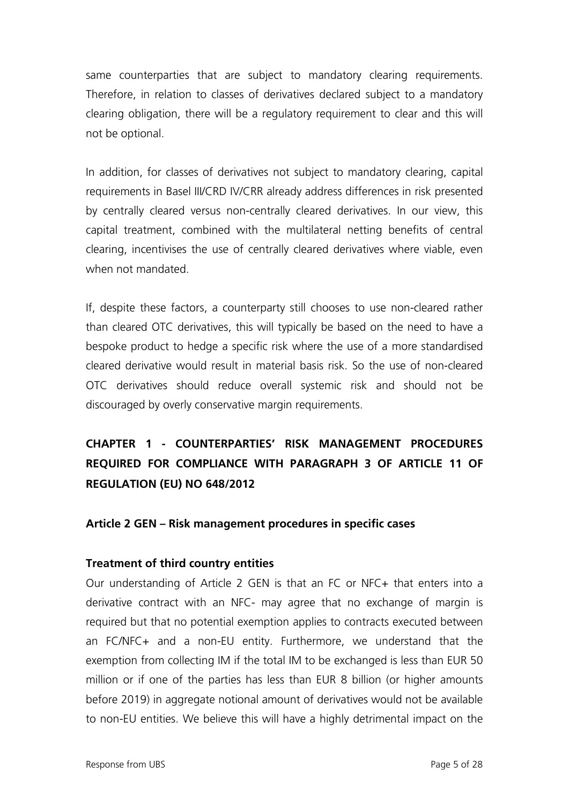same counterparties that are subject to mandatory clearing requirements. Therefore, in relation to classes of derivatives declared subject to a mandatory clearing obligation, there will be a regulatory requirement to clear and this will not be optional.

In addition, for classes of derivatives not subject to mandatory clearing, capital requirements in Basel III/CRD IV/CRR already address differences in risk presented by centrally cleared versus non-centrally cleared derivatives. In our view, this capital treatment, combined with the multilateral netting benefits of central clearing, incentivises the use of centrally cleared derivatives where viable, even when not mandated.

If, despite these factors, a counterparty still chooses to use non-cleared rather than cleared OTC derivatives, this will typically be based on the need to have a bespoke product to hedge a specific risk where the use of a more standardised cleared derivative would result in material basis risk. So the use of non-cleared OTC derivatives should reduce overall systemic risk and should not be discouraged by overly conservative margin requirements.

**CHAPTER 1 - COUNTERPARTIES' RISK MANAGEMENT PROCEDURES REQUIRED FOR COMPLIANCE WITH PARAGRAPH 3 OF ARTICLE 11 OF REGULATION (EU) NO 648/2012**

#### **Article 2 GEN – Risk management procedures in specific cases**

#### **Treatment of third country entities**

Our understanding of Article 2 GEN is that an FC or NFC+ that enters into a derivative contract with an NFC- may agree that no exchange of margin is required but that no potential exemption applies to contracts executed between an FC/NFC+ and a non-EU entity. Furthermore, we understand that the exemption from collecting IM if the total IM to be exchanged is less than EUR 50 million or if one of the parties has less than EUR 8 billion (or higher amounts before 2019) in aggregate notional amount of derivatives would not be available to non-EU entities. We believe this will have a highly detrimental impact on the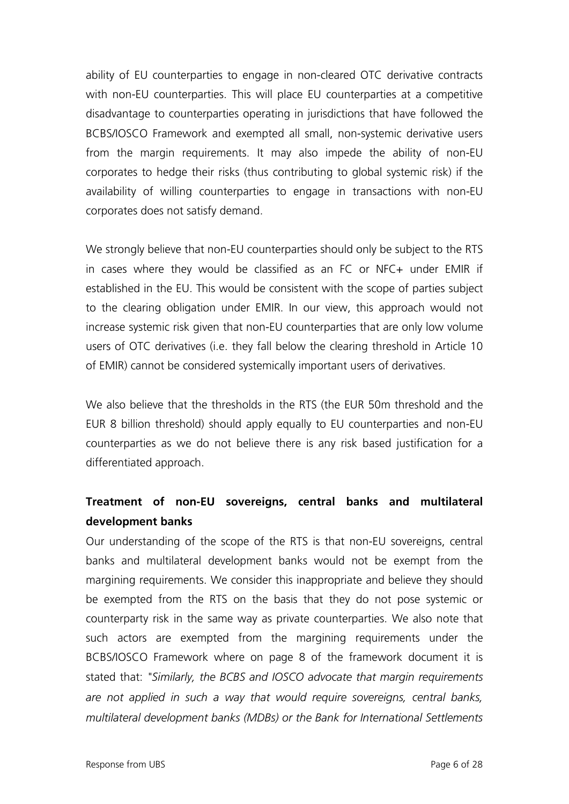ability of EU counterparties to engage in non-cleared OTC derivative contracts with non-EU counterparties. This will place EU counterparties at a competitive disadvantage to counterparties operating in jurisdictions that have followed the BCBS/IOSCO Framework and exempted all small, non-systemic derivative users from the margin requirements. It may also impede the ability of non-EU corporates to hedge their risks (thus contributing to global systemic risk) if the availability of willing counterparties to engage in transactions with non-EU corporates does not satisfy demand.

We strongly believe that non-EU counterparties should only be subject to the RTS in cases where they would be classified as an FC or NFC+ under EMIR if established in the EU. This would be consistent with the scope of parties subject to the clearing obligation under EMIR. In our view, this approach would not increase systemic risk given that non-EU counterparties that are only low volume users of OTC derivatives (i.e. they fall below the clearing threshold in Article 10 of EMIR) cannot be considered systemically important users of derivatives.

We also believe that the thresholds in the RTS (the EUR 50m threshold and the EUR 8 billion threshold) should apply equally to EU counterparties and non-EU counterparties as we do not believe there is any risk based justification for a differentiated approach.

# **Treatment of non-EU sovereigns, central banks and multilateral development banks**

Our understanding of the scope of the RTS is that non-EU sovereigns, central banks and multilateral development banks would not be exempt from the margining requirements. We consider this inappropriate and believe they should be exempted from the RTS on the basis that they do not pose systemic or counterparty risk in the same way as private counterparties. We also note that such actors are exempted from the margining requirements under the BCBS/IOSCO Framework where on page 8 of the framework document it is stated that: *"Similarly, the BCBS and IOSCO advocate that margin requirements are not applied in such a way that would require sovereigns, central banks, multilateral development banks (MDBs) or the Bank for International Settlements*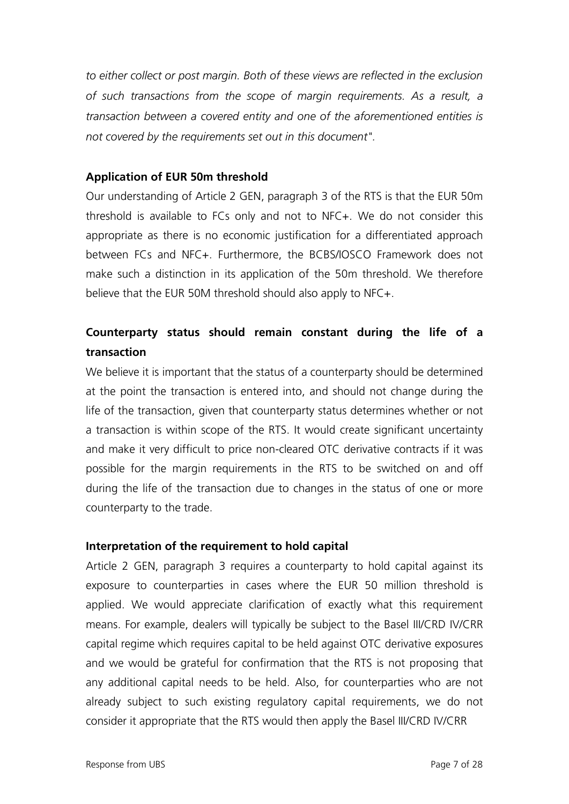*to either collect or post margin. Both of these views are reflected in the exclusion of such transactions from the scope of margin requirements. As a result, a transaction between a covered entity and one of the aforementioned entities is not covered by the requirements set out in this document".*

## **Application of EUR 50m threshold**

Our understanding of Article 2 GEN, paragraph 3 of the RTS is that the EUR 50m threshold is available to FCs only and not to NFC+. We do not consider this appropriate as there is no economic justification for a differentiated approach between FCs and NFC+. Furthermore, the BCBS/IOSCO Framework does not make such a distinction in its application of the 50m threshold. We therefore believe that the EUR 50M threshold should also apply to NFC+.

# **Counterparty status should remain constant during the life of a transaction**

We believe it is important that the status of a counterparty should be determined at the point the transaction is entered into, and should not change during the life of the transaction, given that counterparty status determines whether or not a transaction is within scope of the RTS. It would create significant uncertainty and make it very difficult to price non-cleared OTC derivative contracts if it was possible for the margin requirements in the RTS to be switched on and off during the life of the transaction due to changes in the status of one or more counterparty to the trade.

#### **Interpretation of the requirement to hold capital**

Article 2 GEN, paragraph 3 requires a counterparty to hold capital against its exposure to counterparties in cases where the EUR 50 million threshold is applied. We would appreciate clarification of exactly what this requirement means. For example, dealers will typically be subject to the Basel III/CRD IV/CRR capital regime which requires capital to be held against OTC derivative exposures and we would be grateful for confirmation that the RTS is not proposing that any additional capital needs to be held. Also, for counterparties who are not already subject to such existing regulatory capital requirements, we do not consider it appropriate that the RTS would then apply the Basel III/CRD IV/CRR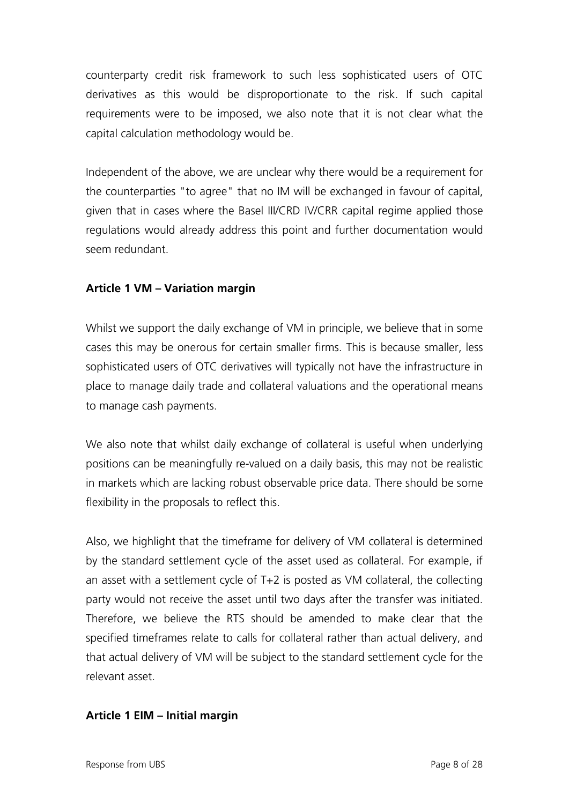counterparty credit risk framework to such less sophisticated users of OTC derivatives as this would be disproportionate to the risk. If such capital requirements were to be imposed, we also note that it is not clear what the capital calculation methodology would be.

Independent of the above, we are unclear why there would be a requirement for the counterparties "to agree" that no IM will be exchanged in favour of capital, given that in cases where the Basel III/CRD IV/CRR capital regime applied those regulations would already address this point and further documentation would seem redundant.

## **Article 1 VM – Variation margin**

Whilst we support the daily exchange of VM in principle, we believe that in some cases this may be onerous for certain smaller firms. This is because smaller, less sophisticated users of OTC derivatives will typically not have the infrastructure in place to manage daily trade and collateral valuations and the operational means to manage cash payments.

We also note that whilst daily exchange of collateral is useful when underlying positions can be meaningfully re-valued on a daily basis, this may not be realistic in markets which are lacking robust observable price data. There should be some flexibility in the proposals to reflect this.

Also, we highlight that the timeframe for delivery of VM collateral is determined by the standard settlement cycle of the asset used as collateral. For example, if an asset with a settlement cycle of T+2 is posted as VM collateral, the collecting party would not receive the asset until two days after the transfer was initiated. Therefore, we believe the RTS should be amended to make clear that the specified timeframes relate to calls for collateral rather than actual delivery, and that actual delivery of VM will be subject to the standard settlement cycle for the relevant asset.

#### **Article 1 EIM – Initial margin**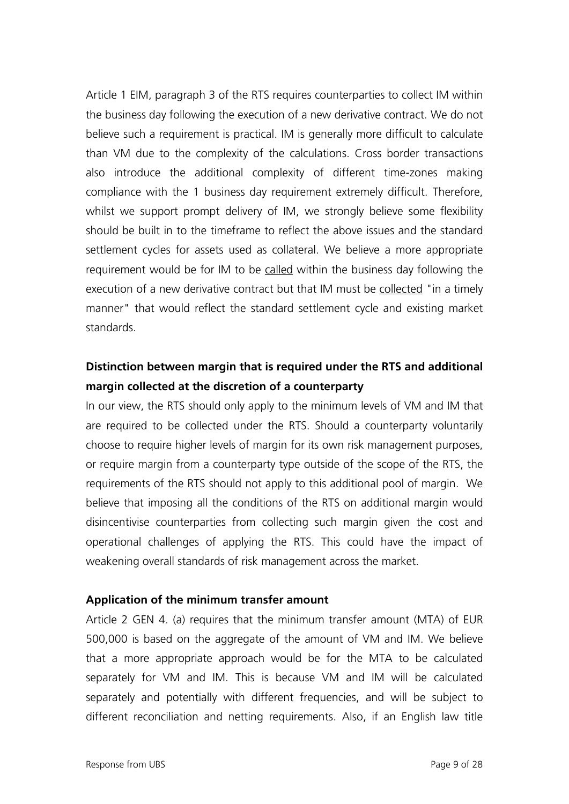Article 1 EIM, paragraph 3 of the RTS requires counterparties to collect IM within the business day following the execution of a new derivative contract. We do not believe such a requirement is practical. IM is generally more difficult to calculate than VM due to the complexity of the calculations. Cross border transactions also introduce the additional complexity of different time-zones making compliance with the 1 business day requirement extremely difficult. Therefore, whilst we support prompt delivery of IM, we strongly believe some flexibility should be built in to the timeframe to reflect the above issues and the standard settlement cycles for assets used as collateral. We believe a more appropriate requirement would be for IM to be called within the business day following the execution of a new derivative contract but that IM must be collected "in a timely manner" that would reflect the standard settlement cycle and existing market standards.

# **Distinction between margin that is required under the RTS and additional margin collected at the discretion of a counterparty**

In our view, the RTS should only apply to the minimum levels of VM and IM that are required to be collected under the RTS. Should a counterparty voluntarily choose to require higher levels of margin for its own risk management purposes, or require margin from a counterparty type outside of the scope of the RTS, the requirements of the RTS should not apply to this additional pool of margin. We believe that imposing all the conditions of the RTS on additional margin would disincentivise counterparties from collecting such margin given the cost and operational challenges of applying the RTS. This could have the impact of weakening overall standards of risk management across the market.

#### **Application of the minimum transfer amount**

Article 2 GEN 4. (a) requires that the minimum transfer amount (MTA) of EUR 500,000 is based on the aggregate of the amount of VM and IM. We believe that a more appropriate approach would be for the MTA to be calculated separately for VM and IM. This is because VM and IM will be calculated separately and potentially with different frequencies, and will be subject to different reconciliation and netting requirements. Also, if an English law title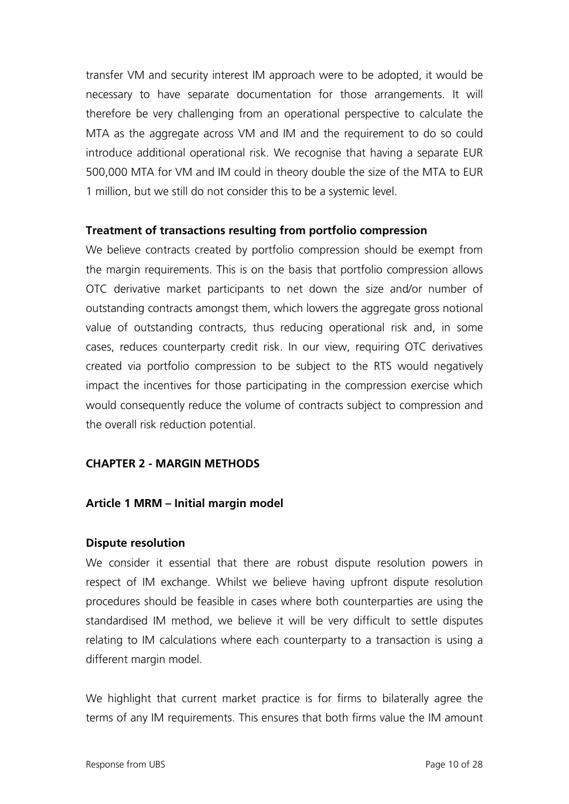transfer VM and security interest IM approach were to be adopted, it would be necessary to have separate documentation for those arrangements. It will therefore be very challenging from an operational perspective to calculate the MTA as the aggregate across VM and IM and the requirement to do so could introduce additional operational risk. We recognise that having a separate EUR 500,000 MTA for VM and IM could in theory double the size of the MTA to EUR 1 million, but we still do not consider this to be a systemic level.

## **Treatment of transactions resulting from portfolio compression**

We believe contracts created by portfolio compression should be exempt from the margin requirements. This is on the basis that portfolio compression allows OTC derivative market participants to net down the size and/or number of outstanding contracts amongst them, which lowers the aggregate gross notional value of outstanding contracts, thus reducing operational risk and, in some cases, reduces counterparty credit risk. In our view, requiring OTC derivatives created via portfolio compression to be subject to the RTS would negatively impact the incentives for those participating in the compression exercise which would consequently reduce the volume of contracts subject to compression and the overall risk reduction potential.

## **CHAPTER 2 - MARGIN METHODS**

## **Article 1 MRM – Initial margin model**

#### **Dispute resolution**

We consider it essential that there are robust dispute resolution powers in respect of IM exchange. Whilst we believe having upfront dispute resolution procedures should be feasible in cases where both counterparties are using the standardised IM method, we believe it will be very difficult to settle disputes relating to IM calculations where each counterparty to a transaction is using a different margin model.

We highlight that current market practice is for firms to bilaterally agree the terms of any IM requirements. This ensures that both firms value the IM amount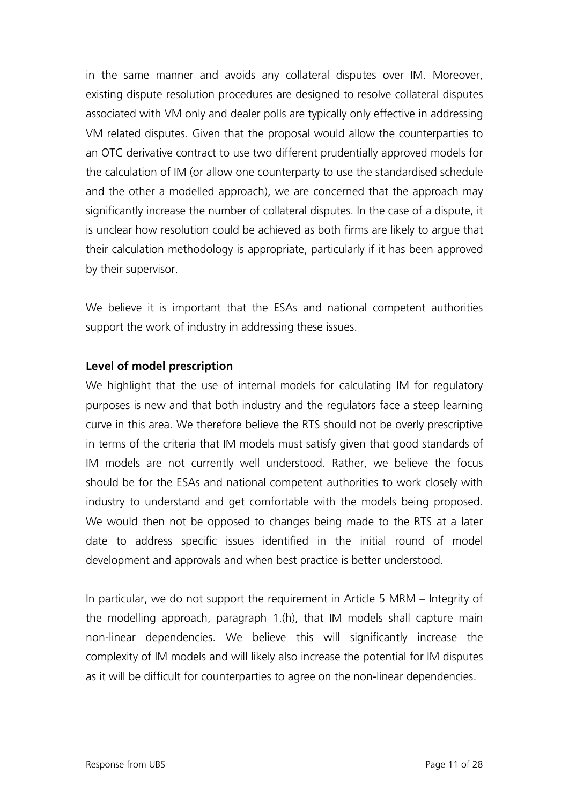in the same manner and avoids any collateral disputes over IM. Moreover, existing dispute resolution procedures are designed to resolve collateral disputes associated with VM only and dealer polls are typically only effective in addressing VM related disputes. Given that the proposal would allow the counterparties to an OTC derivative contract to use two different prudentially approved models for the calculation of IM (or allow one counterparty to use the standardised schedule and the other a modelled approach), we are concerned that the approach may significantly increase the number of collateral disputes. In the case of a dispute, it is unclear how resolution could be achieved as both firms are likely to argue that their calculation methodology is appropriate, particularly if it has been approved by their supervisor.

We believe it is important that the ESAs and national competent authorities support the work of industry in addressing these issues.

#### **Level of model prescription**

We highlight that the use of internal models for calculating IM for regulatory purposes is new and that both industry and the regulators face a steep learning curve in this area. We therefore believe the RTS should not be overly prescriptive in terms of the criteria that IM models must satisfy given that good standards of IM models are not currently well understood. Rather, we believe the focus should be for the ESAs and national competent authorities to work closely with industry to understand and get comfortable with the models being proposed. We would then not be opposed to changes being made to the RTS at a later date to address specific issues identified in the initial round of model development and approvals and when best practice is better understood.

In particular, we do not support the requirement in Article 5 MRM – Integrity of the modelling approach, paragraph 1.(h), that IM models shall capture main non-linear dependencies. We believe this will significantly increase the complexity of IM models and will likely also increase the potential for IM disputes as it will be difficult for counterparties to agree on the non-linear dependencies.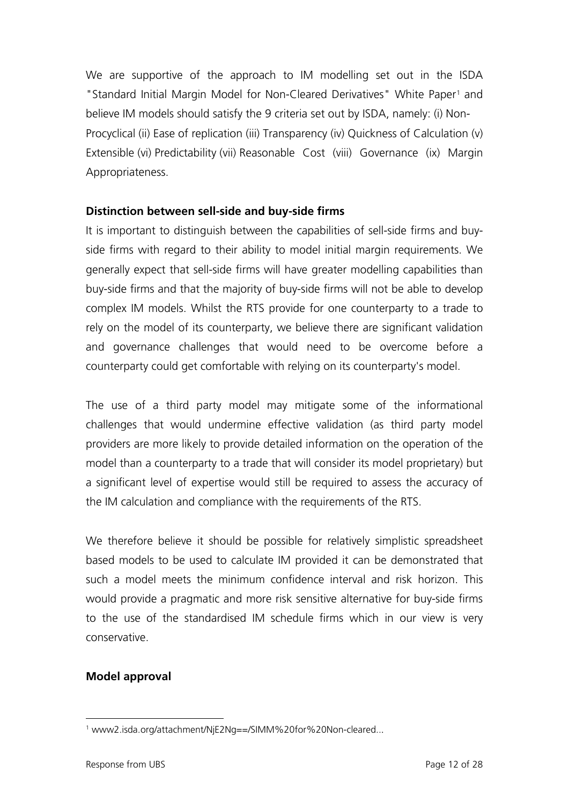We are supportive of the approach to IM modelling set out in the ISDA "Standard Initial Margin Model for Non-Cleared Derivatives" White Paper<sup>[1](#page-11-0)</sup> and believe IM models should satisfy the 9 criteria set out by ISDA, namely: (i) Non-Procyclical (ii) Ease of replication (iii) Transparency (iv) Quickness of Calculation (v) Extensible (vi) Predictability (vii) Reasonable Cost (viii) Governance (ix) Margin Appropriateness.

# **Distinction between sell-side and buy-side firms**

It is important to distinguish between the capabilities of sell-side firms and buyside firms with regard to their ability to model initial margin requirements. We generally expect that sell-side firms will have greater modelling capabilities than buy-side firms and that the majority of buy-side firms will not be able to develop complex IM models. Whilst the RTS provide for one counterparty to a trade to rely on the model of its counterparty, we believe there are significant validation and governance challenges that would need to be overcome before a counterparty could get comfortable with relying on its counterparty's model.

The use of a third party model may mitigate some of the informational challenges that would undermine effective validation (as third party model providers are more likely to provide detailed information on the operation of the model than a counterparty to a trade that will consider its model proprietary) but a significant level of expertise would still be required to assess the accuracy of the IM calculation and compliance with the requirements of the RTS.

We therefore believe it should be possible for relatively simplistic spreadsheet based models to be used to calculate IM provided it can be demonstrated that such a model meets the minimum confidence interval and risk horizon. This would provide a pragmatic and more risk sensitive alternative for buy-side firms to the use of the standardised IM schedule firms which in our view is very conservative.

## **Model approval**

<span id="page-11-0"></span> $\overline{a}$ <sup>1</sup> www2.isda.org/attachment/NjE2Ng==/SIMM%20for%20Non-cleared...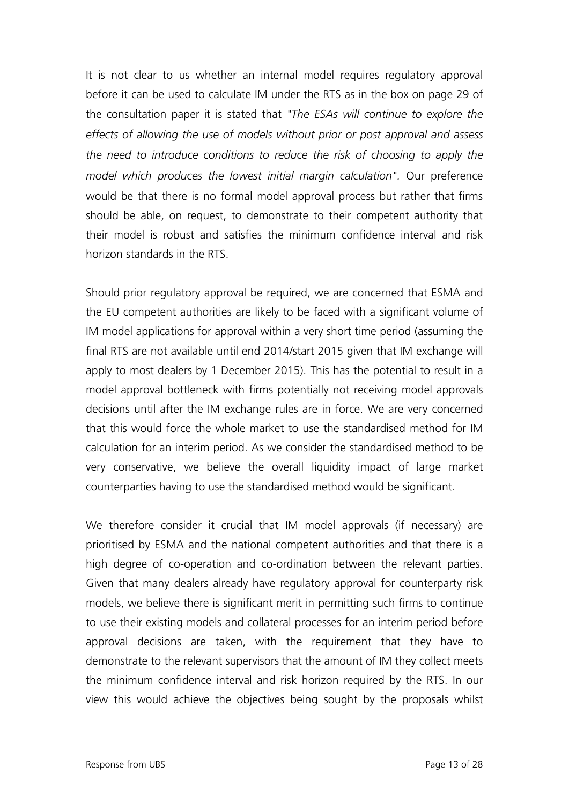It is not clear to us whether an internal model requires regulatory approval before it can be used to calculate IM under the RTS as in the box on page 29 of the consultation paper it is stated that *"The ESAs will continue to explore the effects of allowing the use of models without prior or post approval and assess the need to introduce conditions to reduce the risk of choosing to apply the model which produces the lowest initial margin calculation".* Our preference would be that there is no formal model approval process but rather that firms should be able, on request, to demonstrate to their competent authority that their model is robust and satisfies the minimum confidence interval and risk horizon standards in the RTS.

Should prior regulatory approval be required, we are concerned that ESMA and the EU competent authorities are likely to be faced with a significant volume of IM model applications for approval within a very short time period (assuming the final RTS are not available until end 2014/start 2015 given that IM exchange will apply to most dealers by 1 December 2015). This has the potential to result in a model approval bottleneck with firms potentially not receiving model approvals decisions until after the IM exchange rules are in force. We are very concerned that this would force the whole market to use the standardised method for IM calculation for an interim period. As we consider the standardised method to be very conservative, we believe the overall liquidity impact of large market counterparties having to use the standardised method would be significant.

We therefore consider it crucial that IM model approvals (if necessary) are prioritised by ESMA and the national competent authorities and that there is a high degree of co-operation and co-ordination between the relevant parties. Given that many dealers already have regulatory approval for counterparty risk models, we believe there is significant merit in permitting such firms to continue to use their existing models and collateral processes for an interim period before approval decisions are taken, with the requirement that they have to demonstrate to the relevant supervisors that the amount of IM they collect meets the minimum confidence interval and risk horizon required by the RTS. In our view this would achieve the objectives being sought by the proposals whilst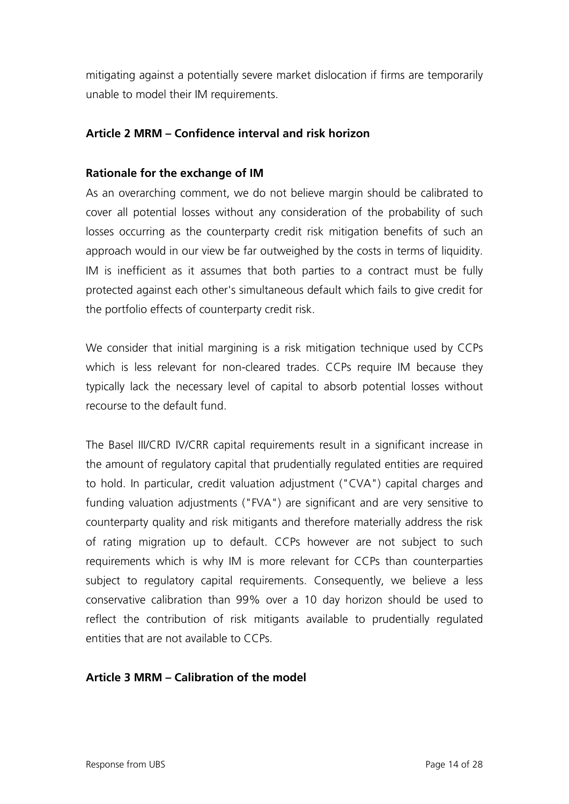mitigating against a potentially severe market dislocation if firms are temporarily unable to model their IM requirements.

## **Article 2 MRM – Confidence interval and risk horizon**

#### **Rationale for the exchange of IM**

As an overarching comment, we do not believe margin should be calibrated to cover all potential losses without any consideration of the probability of such losses occurring as the counterparty credit risk mitigation benefits of such an approach would in our view be far outweighed by the costs in terms of liquidity. IM is inefficient as it assumes that both parties to a contract must be fully protected against each other's simultaneous default which fails to give credit for the portfolio effects of counterparty credit risk.

We consider that initial margining is a risk mitigation technique used by CCPs which is less relevant for non-cleared trades. CCPs require IM because they typically lack the necessary level of capital to absorb potential losses without recourse to the default fund.

The Basel III/CRD IV/CRR capital requirements result in a significant increase in the amount of regulatory capital that prudentially regulated entities are required to hold. In particular, credit valuation adjustment ("CVA") capital charges and funding valuation adjustments ("FVA") are significant and are very sensitive to counterparty quality and risk mitigants and therefore materially address the risk of rating migration up to default. CCPs however are not subject to such requirements which is why IM is more relevant for CCPs than counterparties subject to regulatory capital requirements. Consequently, we believe a less conservative calibration than 99% over a 10 day horizon should be used to reflect the contribution of risk mitigants available to prudentially regulated entities that are not available to CCPs.

#### **Article 3 MRM – Calibration of the model**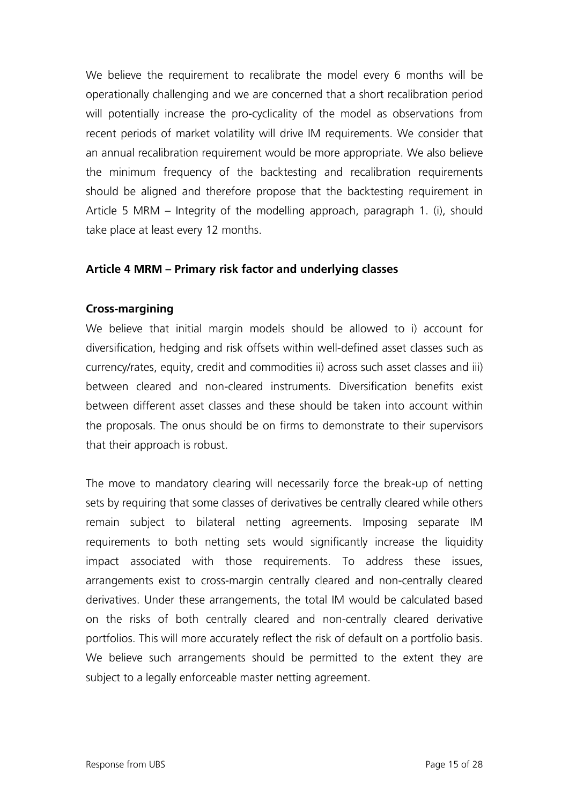We believe the requirement to recalibrate the model every 6 months will be operationally challenging and we are concerned that a short recalibration period will potentially increase the pro-cyclicality of the model as observations from recent periods of market volatility will drive IM requirements. We consider that an annual recalibration requirement would be more appropriate. We also believe the minimum frequency of the backtesting and recalibration requirements should be aligned and therefore propose that the backtesting requirement in Article 5 MRM – Integrity of the modelling approach, paragraph 1. (i), should take place at least every 12 months.

## **Article 4 MRM – Primary risk factor and underlying classes**

#### **Cross-margining**

We believe that initial margin models should be allowed to i) account for diversification, hedging and risk offsets within well-defined asset classes such as currency/rates, equity, credit and commodities ii) across such asset classes and iii) between cleared and non-cleared instruments. Diversification benefits exist between different asset classes and these should be taken into account within the proposals. The onus should be on firms to demonstrate to their supervisors that their approach is robust.

The move to mandatory clearing will necessarily force the break-up of netting sets by requiring that some classes of derivatives be centrally cleared while others remain subject to bilateral netting agreements. Imposing separate IM requirements to both netting sets would significantly increase the liquidity impact associated with those requirements. To address these issues, arrangements exist to cross-margin centrally cleared and non-centrally cleared derivatives. Under these arrangements, the total IM would be calculated based on the risks of both centrally cleared and non-centrally cleared derivative portfolios. This will more accurately reflect the risk of default on a portfolio basis. We believe such arrangements should be permitted to the extent they are subject to a legally enforceable master netting agreement.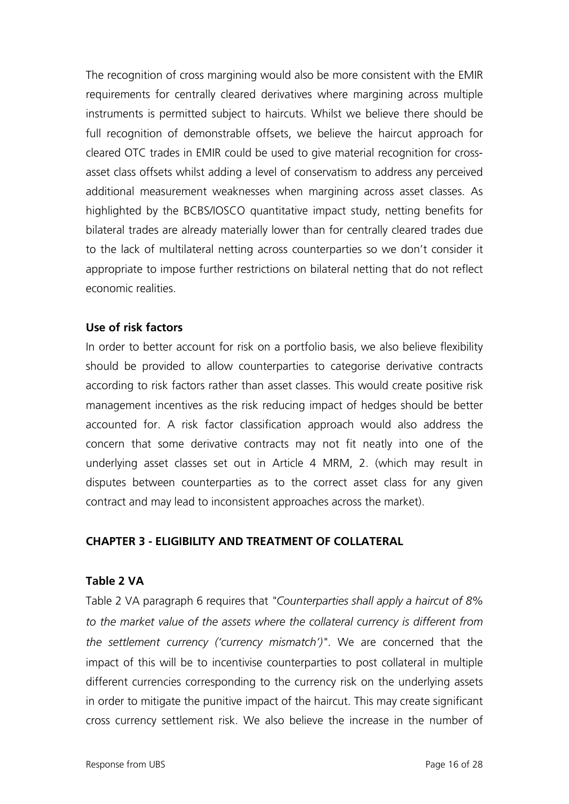The recognition of cross margining would also be more consistent with the EMIR requirements for centrally cleared derivatives where margining across multiple instruments is permitted subject to haircuts. Whilst we believe there should be full recognition of demonstrable offsets, we believe the haircut approach for cleared OTC trades in EMIR could be used to give material recognition for crossasset class offsets whilst adding a level of conservatism to address any perceived additional measurement weaknesses when margining across asset classes. As highlighted by the BCBS/IOSCO quantitative impact study, netting benefits for bilateral trades are already materially lower than for centrally cleared trades due to the lack of multilateral netting across counterparties so we don't consider it appropriate to impose further restrictions on bilateral netting that do not reflect economic realities.

## **Use of risk factors**

In order to better account for risk on a portfolio basis, we also believe flexibility should be provided to allow counterparties to categorise derivative contracts according to risk factors rather than asset classes. This would create positive risk management incentives as the risk reducing impact of hedges should be better accounted for. A risk factor classification approach would also address the concern that some derivative contracts may not fit neatly into one of the underlying asset classes set out in Article 4 MRM, 2. (which may result in disputes between counterparties as to the correct asset class for any given contract and may lead to inconsistent approaches across the market).

#### **CHAPTER 3 - ELIGIBILITY AND TREATMENT OF COLLATERAL**

#### **Table 2 VA**

Table 2 VA paragraph 6 requires that *"Counterparties shall apply a haircut of 8% to the market value of the assets where the collateral currency is different from the settlement currency ('currency mismatch')"*. We are concerned that the impact of this will be to incentivise counterparties to post collateral in multiple different currencies corresponding to the currency risk on the underlying assets in order to mitigate the punitive impact of the haircut. This may create significant cross currency settlement risk. We also believe the increase in the number of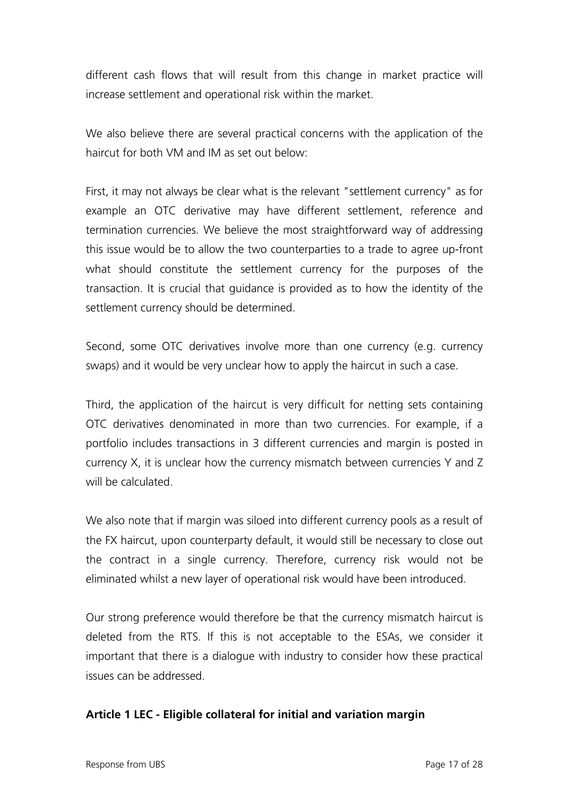different cash flows that will result from this change in market practice will increase settlement and operational risk within the market.

We also believe there are several practical concerns with the application of the haircut for both VM and IM as set out below:

First, it may not always be clear what is the relevant "settlement currency" as for example an OTC derivative may have different settlement, reference and termination currencies. We believe the most straightforward way of addressing this issue would be to allow the two counterparties to a trade to agree up-front what should constitute the settlement currency for the purposes of the transaction. It is crucial that guidance is provided as to how the identity of the settlement currency should be determined.

Second, some OTC derivatives involve more than one currency (e.g. currency swaps) and it would be very unclear how to apply the haircut in such a case.

Third, the application of the haircut is very difficult for netting sets containing OTC derivatives denominated in more than two currencies. For example, if a portfolio includes transactions in 3 different currencies and margin is posted in currency X, it is unclear how the currency mismatch between currencies Y and Z will be calculated.

We also note that if margin was siloed into different currency pools as a result of the FX haircut, upon counterparty default, it would still be necessary to close out the contract in a single currency. Therefore, currency risk would not be eliminated whilst a new layer of operational risk would have been introduced.

Our strong preference would therefore be that the currency mismatch haircut is deleted from the RTS. If this is not acceptable to the ESAs, we consider it important that there is a dialogue with industry to consider how these practical issues can be addressed.

## **Article 1 LEC - Eligible collateral for initial and variation margin**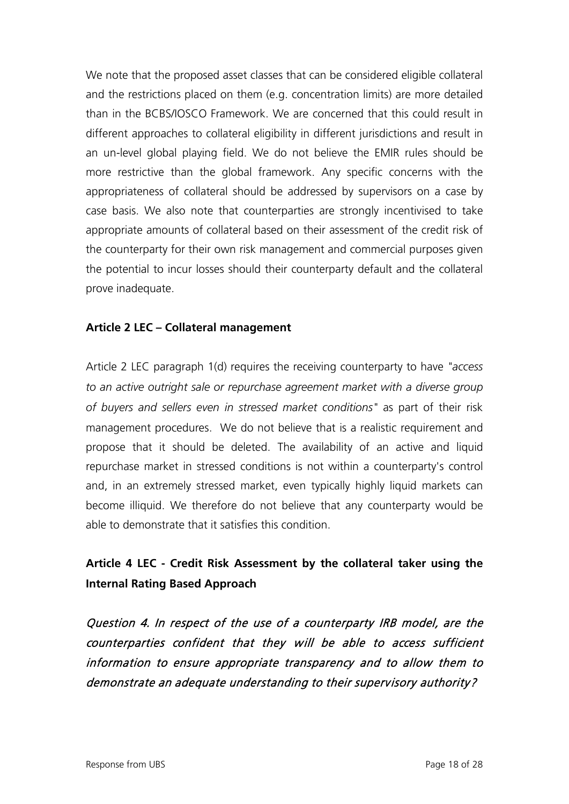We note that the proposed asset classes that can be considered eligible collateral and the restrictions placed on them (e.g. concentration limits) are more detailed than in the BCBS/IOSCO Framework. We are concerned that this could result in different approaches to collateral eligibility in different jurisdictions and result in an un-level global playing field. We do not believe the EMIR rules should be more restrictive than the global framework. Any specific concerns with the appropriateness of collateral should be addressed by supervisors on a case by case basis. We also note that counterparties are strongly incentivised to take appropriate amounts of collateral based on their assessment of the credit risk of the counterparty for their own risk management and commercial purposes given the potential to incur losses should their counterparty default and the collateral prove inadequate.

## **Article 2 LEC – Collateral management**

Article 2 LEC paragraph 1(d) requires the receiving counterparty to have *"access to an active outright sale or repurchase agreement market with a diverse group of buyers and sellers even in stressed market conditions"* as part of their risk management procedures. We do not believe that is a realistic requirement and propose that it should be deleted. The availability of an active and liquid repurchase market in stressed conditions is not within a counterparty's control and, in an extremely stressed market, even typically highly liquid markets can become illiquid. We therefore do not believe that any counterparty would be able to demonstrate that it satisfies this condition.

# **Article 4 LEC - Credit Risk Assessment by the collateral taker using the Internal Rating Based Approach**

Question 4. In respect of the use of a counterparty IRB model, are the counterparties confident that they will be able to access sufficient information to ensure appropriate transparency and to allow them to demonstrate an adequate understanding to their supervisory authority?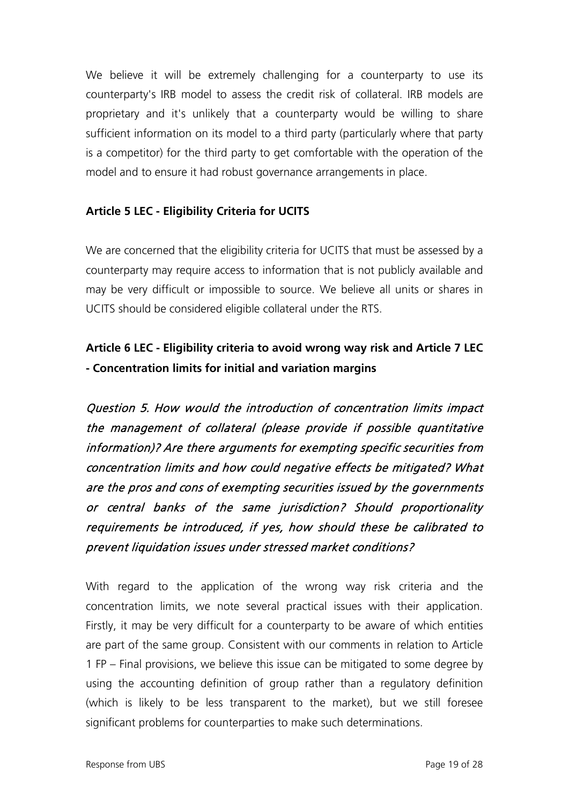We believe it will be extremely challenging for a counterparty to use its counterparty's IRB model to assess the credit risk of collateral. IRB models are proprietary and it's unlikely that a counterparty would be willing to share sufficient information on its model to a third party (particularly where that party is a competitor) for the third party to get comfortable with the operation of the model and to ensure it had robust governance arrangements in place.

# **Article 5 LEC - Eligibility Criteria for UCITS**

We are concerned that the eligibility criteria for UCITS that must be assessed by a counterparty may require access to information that is not publicly available and may be very difficult or impossible to source. We believe all units or shares in UCITS should be considered eligible collateral under the RTS.

# **Article 6 LEC - Eligibility criteria to avoid wrong way risk and Article 7 LEC - Concentration limits for initial and variation margins**

Question 5. How would the introduction of concentration limits impact the management of collateral (please provide if possible quantitative information)? Are there arguments for exempting specific securities from concentration limits and how could negative effects be mitigated? What are the pros and cons of exempting securities issued by the governments or central banks of the same jurisdiction? Should proportionality requirements be introduced, if yes, how should these be calibrated to prevent liquidation issues under stressed market conditions?

With regard to the application of the wrong way risk criteria and the concentration limits, we note several practical issues with their application. Firstly, it may be very difficult for a counterparty to be aware of which entities are part of the same group. Consistent with our comments in relation to Article 1 FP – Final provisions, we believe this issue can be mitigated to some degree by using the accounting definition of group rather than a regulatory definition (which is likely to be less transparent to the market), but we still foresee significant problems for counterparties to make such determinations.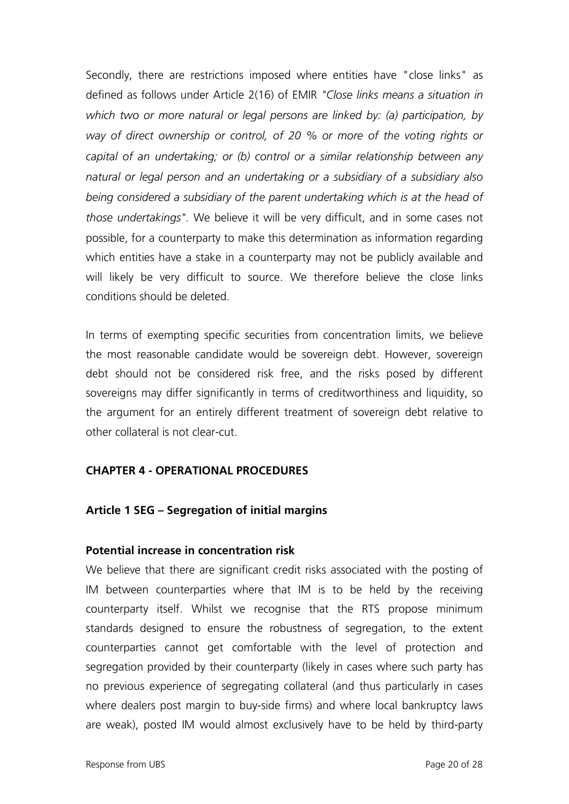Secondly, there are restrictions imposed where entities have "close links" as defined as follows under Article 2(16) of EMIR *"Close links means a situation in which two or more natural or legal persons are linked by: (a) participation, by way of direct ownership or control, of 20 % or more of the voting rights or capital of an undertaking; or (b) control or a similar relationship between any natural or legal person and an undertaking or a subsidiary of a subsidiary also being considered a subsidiary of the parent undertaking which is at the head of those undertakings".* We believe it will be very difficult, and in some cases not possible, for a counterparty to make this determination as information regarding which entities have a stake in a counterparty may not be publicly available and will likely be very difficult to source. We therefore believe the close links conditions should be deleted.

In terms of exempting specific securities from concentration limits, we believe the most reasonable candidate would be sovereign debt. However, sovereign debt should not be considered risk free, and the risks posed by different sovereigns may differ significantly in terms of creditworthiness and liquidity, so the argument for an entirely different treatment of sovereign debt relative to other collateral is not clear-cut.

#### **CHAPTER 4 - OPERATIONAL PROCEDURES**

## **Article 1 SEG – Segregation of initial margins**

#### **Potential increase in concentration risk**

We believe that there are significant credit risks associated with the posting of IM between counterparties where that IM is to be held by the receiving counterparty itself. Whilst we recognise that the RTS propose minimum standards designed to ensure the robustness of segregation, to the extent counterparties cannot get comfortable with the level of protection and segregation provided by their counterparty (likely in cases where such party has no previous experience of segregating collateral (and thus particularly in cases where dealers post margin to buy-side firms) and where local bankruptcy laws are weak), posted IM would almost exclusively have to be held by third-party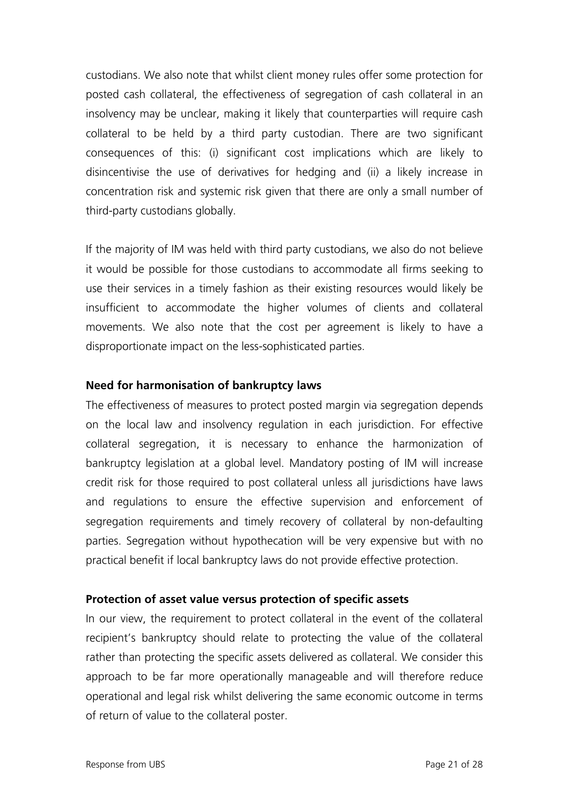custodians. We also note that whilst client money rules offer some protection for posted cash collateral, the effectiveness of segregation of cash collateral in an insolvency may be unclear, making it likely that counterparties will require cash collateral to be held by a third party custodian. There are two significant consequences of this: (i) significant cost implications which are likely to disincentivise the use of derivatives for hedging and (ii) a likely increase in concentration risk and systemic risk given that there are only a small number of third-party custodians globally.

If the majority of IM was held with third party custodians, we also do not believe it would be possible for those custodians to accommodate all firms seeking to use their services in a timely fashion as their existing resources would likely be insufficient to accommodate the higher volumes of clients and collateral movements. We also note that the cost per agreement is likely to have a disproportionate impact on the less-sophisticated parties.

## **Need for harmonisation of bankruptcy laws**

The effectiveness of measures to protect posted margin via segregation depends on the local law and insolvency regulation in each jurisdiction. For effective collateral segregation, it is necessary to enhance the harmonization of bankruptcy legislation at a global level. Mandatory posting of IM will increase credit risk for those required to post collateral unless all jurisdictions have laws and regulations to ensure the effective supervision and enforcement of segregation requirements and timely recovery of collateral by non-defaulting parties. Segregation without hypothecation will be very expensive but with no practical benefit if local bankruptcy laws do not provide effective protection.

#### **Protection of asset value versus protection of specific assets**

In our view, the requirement to protect collateral in the event of the collateral recipient's bankruptcy should relate to protecting the value of the collateral rather than protecting the specific assets delivered as collateral. We consider this approach to be far more operationally manageable and will therefore reduce operational and legal risk whilst delivering the same economic outcome in terms of return of value to the collateral poster.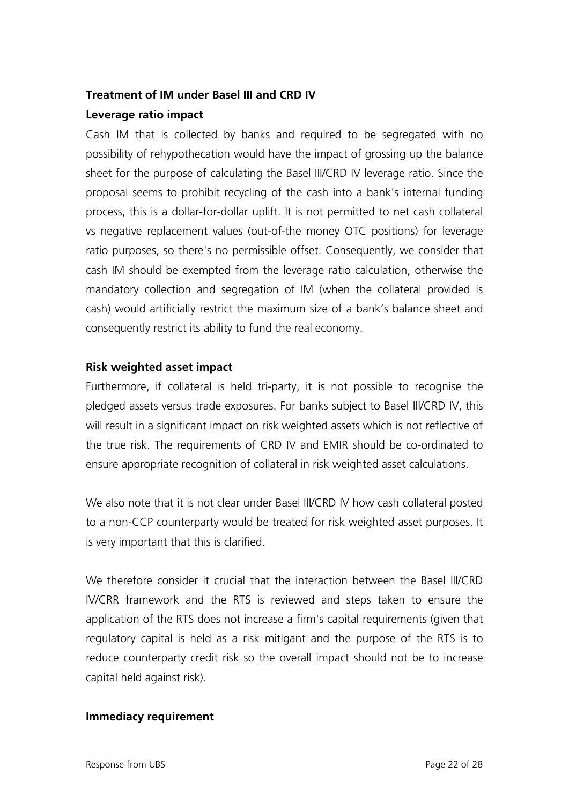## **Treatment of IM under Basel III and CRD IV**

## **Leverage ratio impact**

Cash IM that is collected by banks and required to be segregated with no possibility of rehypothecation would have the impact of grossing up the balance sheet for the purpose of calculating the Basel III/CRD IV leverage ratio. Since the proposal seems to prohibit recycling of the cash into a bank's internal funding process, this is a dollar-for-dollar uplift. It is not permitted to net cash collateral vs negative replacement values (out-of-the money OTC positions) for leverage ratio purposes, so there's no permissible offset. Consequently, we consider that cash IM should be exempted from the leverage ratio calculation, otherwise the mandatory collection and segregation of IM (when the collateral provided is cash) would artificially restrict the maximum size of a bank's balance sheet and consequently restrict its ability to fund the real economy.

## **Risk weighted asset impact**

Furthermore, if collateral is held tri-party, it is not possible to recognise the pledged assets versus trade exposures. For banks subject to Basel III/CRD IV, this will result in a significant impact on risk weighted assets which is not reflective of the true risk. The requirements of CRD IV and EMIR should be co-ordinated to ensure appropriate recognition of collateral in risk weighted asset calculations.

We also note that it is not clear under Basel III/CRD IV how cash collateral posted to a non-CCP counterparty would be treated for risk weighted asset purposes. It is very important that this is clarified.

We therefore consider it crucial that the interaction between the Basel III/CRD IV/CRR framework and the RTS is reviewed and steps taken to ensure the application of the RTS does not increase a firm's capital requirements (given that regulatory capital is held as a risk mitigant and the purpose of the RTS is to reduce counterparty credit risk so the overall impact should not be to increase capital held against risk).

## **Immediacy requirement**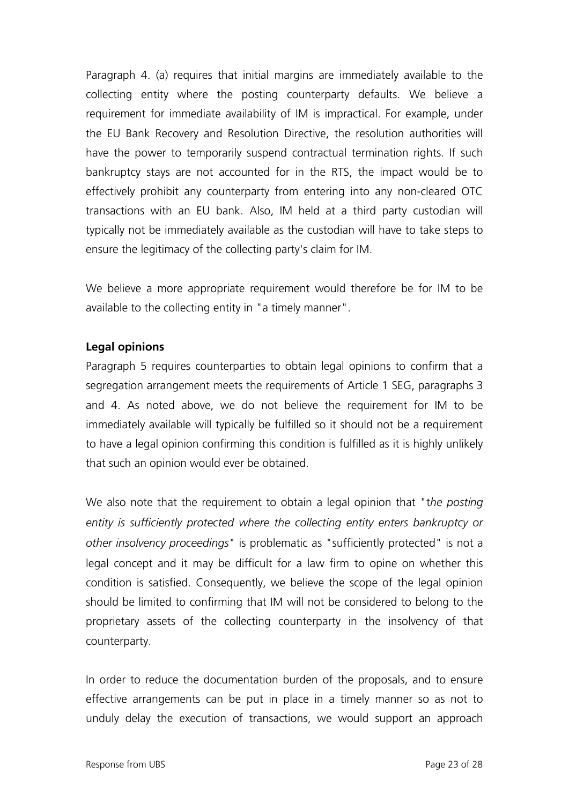Paragraph 4. (a) requires that initial margins are immediately available to the collecting entity where the posting counterparty defaults. We believe a requirement for immediate availability of IM is impractical. For example, under the EU Bank Recovery and Resolution Directive, the resolution authorities will have the power to temporarily suspend contractual termination rights. If such bankruptcy stays are not accounted for in the RTS, the impact would be to effectively prohibit any counterparty from entering into any non-cleared OTC transactions with an EU bank. Also, IM held at a third party custodian will typically not be immediately available as the custodian will have to take steps to ensure the legitimacy of the collecting party's claim for IM.

We believe a more appropriate requirement would therefore be for IM to be available to the collecting entity in "a timely manner".

## **Legal opinions**

Paragraph 5 requires counterparties to obtain legal opinions to confirm that a segregation arrangement meets the requirements of Article 1 SEG, paragraphs 3 and 4. As noted above, we do not believe the requirement for IM to be immediately available will typically be fulfilled so it should not be a requirement to have a legal opinion confirming this condition is fulfilled as it is highly unlikely that such an opinion would ever be obtained.

We also note that the requirement to obtain a legal opinion that "t*he posting entity is sufficiently protected where the collecting entity enters bankruptcy or other insolvency proceedings*" is problematic as "sufficiently protected" is not a legal concept and it may be difficult for a law firm to opine on whether this condition is satisfied. Consequently, we believe the scope of the legal opinion should be limited to confirming that IM will not be considered to belong to the proprietary assets of the collecting counterparty in the insolvency of that counterparty.

In order to reduce the documentation burden of the proposals, and to ensure effective arrangements can be put in place in a timely manner so as not to unduly delay the execution of transactions, we would support an approach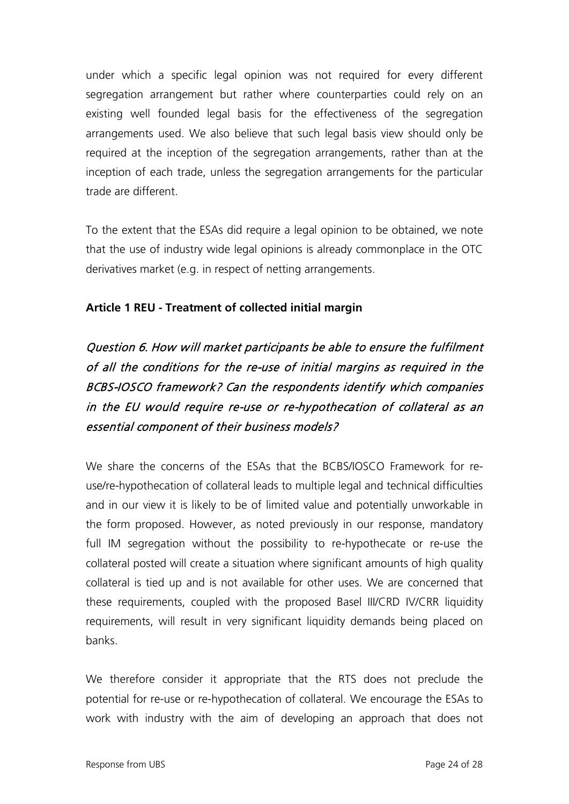under which a specific legal opinion was not required for every different segregation arrangement but rather where counterparties could rely on an existing well founded legal basis for the effectiveness of the segregation arrangements used. We also believe that such legal basis view should only be required at the inception of the segregation arrangements, rather than at the inception of each trade, unless the segregation arrangements for the particular trade are different.

To the extent that the ESAs did require a legal opinion to be obtained, we note that the use of industry wide legal opinions is already commonplace in the OTC derivatives market (e.g. in respect of netting arrangements.

## **Article 1 REU - Treatment of collected initial margin**

Question 6. How will market participants be able to ensure the fulfilment of all the conditions for the re-use of initial margins as required in the BCBS-IOSCO framework? Can the respondents identify which companies in the EU would require re-use or re-hypothecation of collateral as an essential component of their business models?

We share the concerns of the ESAs that the BCBS/IOSCO Framework for reuse/re-hypothecation of collateral leads to multiple legal and technical difficulties and in our view it is likely to be of limited value and potentially unworkable in the form proposed. However, as noted previously in our response, mandatory full IM segregation without the possibility to re-hypothecate or re-use the collateral posted will create a situation where significant amounts of high quality collateral is tied up and is not available for other uses. We are concerned that these requirements, coupled with the proposed Basel III/CRD IV/CRR liquidity requirements, will result in very significant liquidity demands being placed on banks.

We therefore consider it appropriate that the RTS does not preclude the potential for re-use or re-hypothecation of collateral. We encourage the ESAs to work with industry with the aim of developing an approach that does not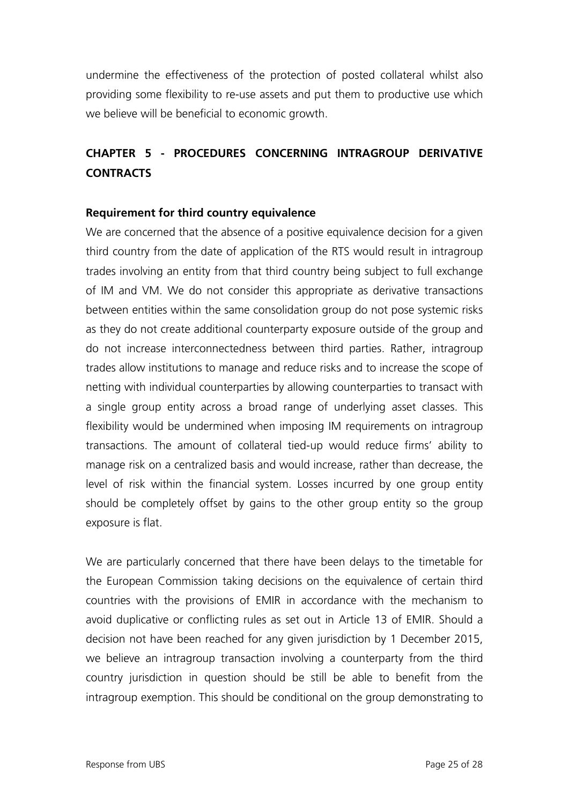undermine the effectiveness of the protection of posted collateral whilst also providing some flexibility to re-use assets and put them to productive use which we believe will be beneficial to economic growth.

# **CHAPTER 5 - PROCEDURES CONCERNING INTRAGROUP DERIVATIVE CONTRACTS**

## **Requirement for third country equivalence**

We are concerned that the absence of a positive equivalence decision for a given third country from the date of application of the RTS would result in intragroup trades involving an entity from that third country being subject to full exchange of IM and VM. We do not consider this appropriate as derivative transactions between entities within the same consolidation group do not pose systemic risks as they do not create additional counterparty exposure outside of the group and do not increase interconnectedness between third parties. Rather, intragroup trades allow institutions to manage and reduce risks and to increase the scope of netting with individual counterparties by allowing counterparties to transact with a single group entity across a broad range of underlying asset classes. This flexibility would be undermined when imposing IM requirements on intragroup transactions. The amount of collateral tied-up would reduce firms' ability to manage risk on a centralized basis and would increase, rather than decrease, the level of risk within the financial system. Losses incurred by one group entity should be completely offset by gains to the other group entity so the group exposure is flat.

We are particularly concerned that there have been delays to the timetable for the European Commission taking decisions on the equivalence of certain third countries with the provisions of EMIR in accordance with the mechanism to avoid duplicative or conflicting rules as set out in Article 13 of EMIR. Should a decision not have been reached for any given jurisdiction by 1 December 2015, we believe an intragroup transaction involving a counterparty from the third country jurisdiction in question should be still be able to benefit from the intragroup exemption. This should be conditional on the group demonstrating to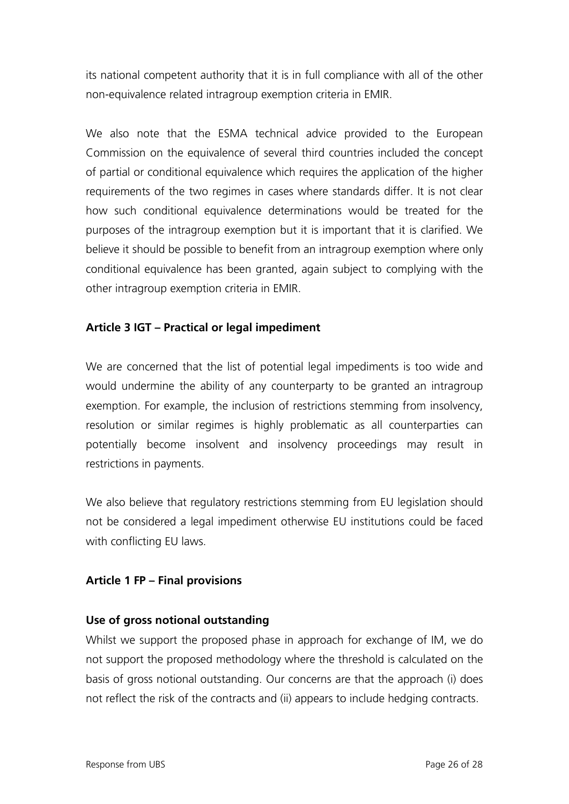its national competent authority that it is in full compliance with all of the other non-equivalence related intragroup exemption criteria in EMIR.

We also note that the ESMA technical advice provided to the European Commission on the equivalence of several third countries included the concept of partial or conditional equivalence which requires the application of the higher requirements of the two regimes in cases where standards differ. It is not clear how such conditional equivalence determinations would be treated for the purposes of the intragroup exemption but it is important that it is clarified. We believe it should be possible to benefit from an intragroup exemption where only conditional equivalence has been granted, again subject to complying with the other intragroup exemption criteria in EMIR.

# **Article 3 IGT – Practical or legal impediment**

We are concerned that the list of potential legal impediments is too wide and would undermine the ability of any counterparty to be granted an intragroup exemption. For example, the inclusion of restrictions stemming from insolvency, resolution or similar regimes is highly problematic as all counterparties can potentially become insolvent and insolvency proceedings may result in restrictions in payments.

We also believe that regulatory restrictions stemming from EU legislation should not be considered a legal impediment otherwise EU institutions could be faced with conflicting EU laws.

## **Article 1 FP – Final provisions**

## **Use of gross notional outstanding**

Whilst we support the proposed phase in approach for exchange of IM, we do not support the proposed methodology where the threshold is calculated on the basis of gross notional outstanding. Our concerns are that the approach (i) does not reflect the risk of the contracts and (ii) appears to include hedging contracts.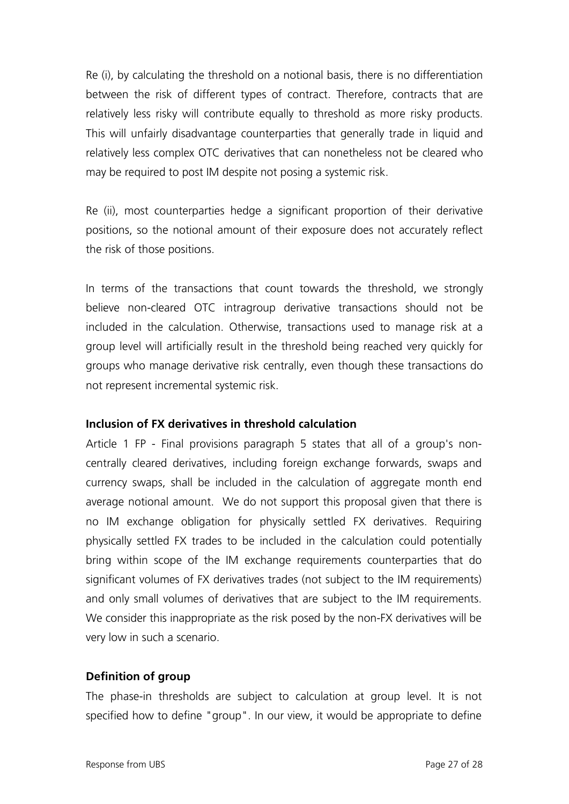Re (i), by calculating the threshold on a notional basis, there is no differentiation between the risk of different types of contract. Therefore, contracts that are relatively less risky will contribute equally to threshold as more risky products. This will unfairly disadvantage counterparties that generally trade in liquid and relatively less complex OTC derivatives that can nonetheless not be cleared who may be required to post IM despite not posing a systemic risk.

Re (ii), most counterparties hedge a significant proportion of their derivative positions, so the notional amount of their exposure does not accurately reflect the risk of those positions.

In terms of the transactions that count towards the threshold, we strongly believe non-cleared OTC intragroup derivative transactions should not be included in the calculation. Otherwise, transactions used to manage risk at a group level will artificially result in the threshold being reached very quickly for groups who manage derivative risk centrally, even though these transactions do not represent incremental systemic risk.

#### **Inclusion of FX derivatives in threshold calculation**

Article 1 FP - Final provisions paragraph 5 states that all of a group's noncentrally cleared derivatives, including foreign exchange forwards, swaps and currency swaps, shall be included in the calculation of aggregate month end average notional amount. We do not support this proposal given that there is no IM exchange obligation for physically settled FX derivatives. Requiring physically settled FX trades to be included in the calculation could potentially bring within scope of the IM exchange requirements counterparties that do significant volumes of FX derivatives trades (not subject to the IM requirements) and only small volumes of derivatives that are subject to the IM requirements. We consider this inappropriate as the risk posed by the non-FX derivatives will be very low in such a scenario.

## **Definition of group**

The phase-in thresholds are subject to calculation at group level. It is not specified how to define "group". In our view, it would be appropriate to define